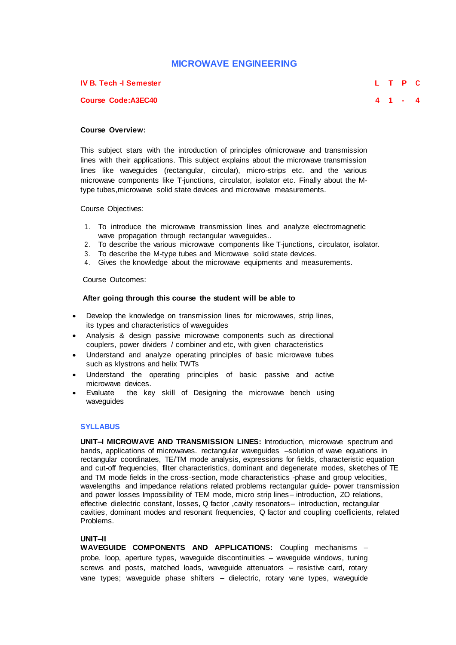# **MICROWAVE ENGINEERING**

## **IV B. Tech -I Semester L T P C**

**Course Code:A3EC40 4 1 - 4**

# **Course Overview:**

This subject stars with the introduction of principles ofmicrowave and transmission lines with their applications. This subject explains about the microwave transmission lines like waveguides (rectangular, circular), micro-strips etc. and the various microwave components like T-junctions, circulator, isolator etc. Finally about the Mtype tubes,microwave solid state devices and microwave measurements.

Course Objectives:

- 1. To introduce the microwave transmission lines and analyze electromagnetic wave propagation through rectangular waveguides..
- 2. To describe the various microwave components like T-junctions, circulator, isolator.<br>3. To describe the M-type tubes and Microwave solid state devices.
- To describe the M-type tubes and Microwave solid state devices.
- 4. Gives the knowledge about the microwave equipments and measurements.

Course Outcomes:

## **After going through this course the student will be able to**

- Develop the knowledge on transmission lines for microwaves, strip lines, its types and characteristics of waveguides
- Analysis & design passive microwave components such as directional couplers, power dividers / combiner and etc, with given characteristics
- Understand and analyze operating principles of basic microwave tubes such as klystrons and helix TWTs
- Understand the operating principles of basic passive and active microwave devices.
- Evaluate the key skill of Designing the microwave bench using waveguides

#### **SYLLABUS**

**UNIT–I MICROWAVE AND TRANSMISSION LINES:** Introduction, microwave spectrum and bands, applications of microwaves. rectangular waveguides –solution of wave equations in rectangular coordinates, TE/TM mode analysis, expressions for fields, characteristic equation and cut-off frequencies, filter characteristics, dominant and degenerate modes, sketches of TE and TM mode fields in the cross-section, mode characteristics -phase and group velocities, wavelengths and impedance relations related problems rectangular guide- power transmission and power losses Impossibility of TEM mode, micro strip lines– introduction, ZO relations, effective dielectric constant, losses, Q factor , cavity resonators- introduction, rectangular cavities, dominant modes and resonant frequencies, Q factor and coupling coefficients, related Problems.

#### **UNIT–II**

**WAVEGUIDE COMPONENTS AND APPLICATIONS:** Coupling mechanisms – probe, loop, aperture types, waveguide discontinuities – waveguide windows, tuning screws and posts, matched loads, waveguide attenuators – resistive card, rotary vane types; waveguide phase shifters – dielectric, rotary vane types, waveguide